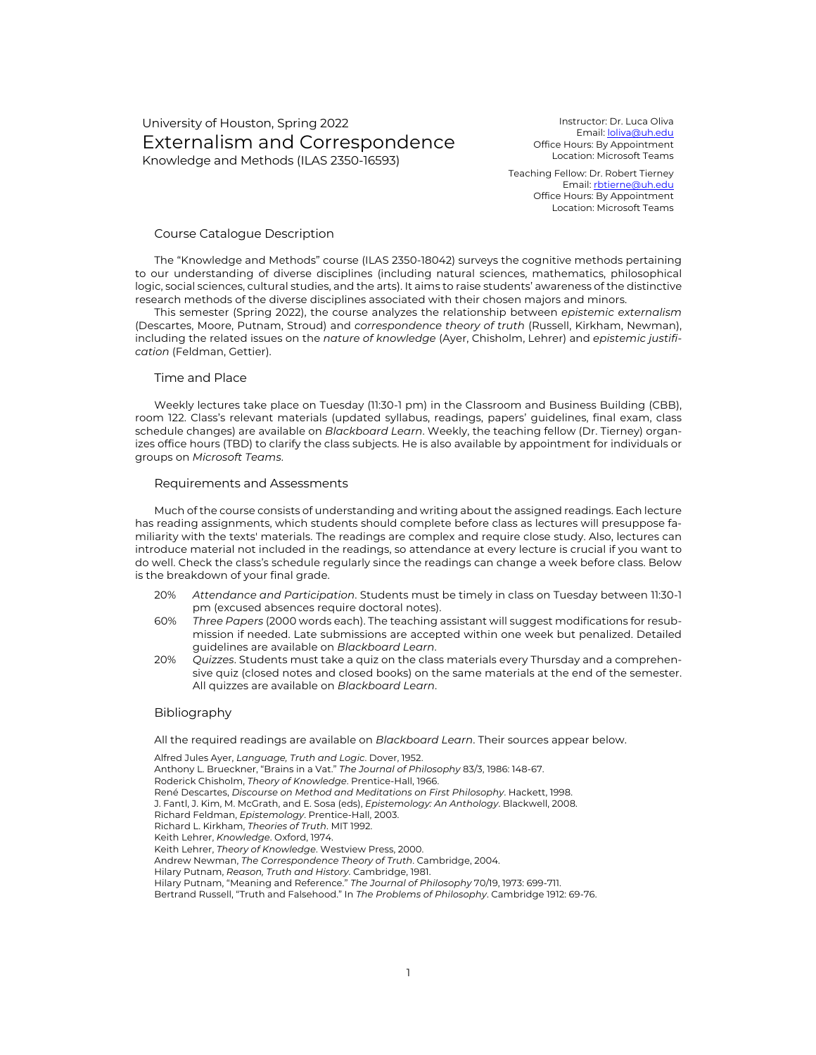# University of Houston, Spring 2022 Externalism and Correspondence Knowledge and Methods (ILAS 2350-16593)

Instructor: Dr. Luca Oliva Email: loliva@uh.edu Office Hours: By Appointment Location: Microsoft Teams

Teaching Fellow: Dr. Robert Tierney Email: rbtierne@uh.edu Office Hours: By Appointment Location: Microsoft Teams

### Course Catalogue Description

The "Knowledge and Methods" course (ILAS 2350-18042) surveys the cognitive methods pertaining to our understanding of diverse disciplines (including natural sciences, mathematics, philosophical logic, social sciences, cultural studies, and the arts). It aims to raise students' awareness of the distinctive research methods of the diverse disciplines associated with their chosen majors and minors.

This semester (Spring 2022), the course analyzes the relationship between *epistemic externalism* (Descartes, Moore, Putnam, Stroud) and *correspondence theory of truth* (Russell, Kirkham, Newman), including the related issues on the *nature of knowledge* (Ayer, Chisholm, Lehrer) and *epistemic justification* (Feldman, Gettier).

## Time and Place

Weekly lectures take place on Tuesday (11:30-1 pm) in the Classroom and Business Building (CBB), room 122. Class's relevant materials (updated syllabus, readings, papers' guidelines, final exam, class schedule changes) are available on *Blackboard Learn*. Weekly, the teaching fellow (Dr. Tierney) organizes office hours (TBD) to clarify the class subjects. He is also available by appointment for individuals or groups on *Microsoft Teams*.

#### Requirements and Assessments

Much of the course consists of understanding and writing about the assigned readings. Each lecture has reading assignments, which students should complete before class as lectures will presuppose familiarity with the texts' materials. The readings are complex and require close study. Also, lectures can introduce material not included in the readings, so attendance at every lecture is crucial if you want to do well. Check the class's schedule regularly since the readings can change a week before class. Below is the breakdown of your final grade.

- 20% *Attendance and Participation*. Students must be timely in class on Tuesday between 11:30-1 pm (excused absences require doctoral notes).
- 60% *Three Papers* (2000 words each). The teaching assistant will suggest modifications for resubmission if needed. Late submissions are accepted within one week but penalized. Detailed guidelines are available on *Blackboard Learn*.
- 20% *Quizzes*. Students must take a quiz on the class materials every Thursday and a comprehensive quiz (closed notes and closed books) on the same materials at the end of the semester. All quizzes are available on *Blackboard Learn*.

#### Bibliography

All the required readings are available on *Blackboard Learn*. Their sources appear below.

Alfred Jules Ayer, *Language, Truth and Logic*. Dover, 1952. Anthony L. Brueckner, "Brains in a Vat." *The Journal of Philosophy* 83/3, 1986: 148-67. Roderick Chisholm, *Theory of Knowledge*. Prentice-Hall, 1966. René Descartes, *Discourse on Method and Meditations on First Philosophy*. Hackett, 1998. J. Fantl, J. Kim, M. McGrath, and E. Sosa (eds), *Epistemology: An Anthology*. Blackwell, 2008. Richard Feldman, *Epistemology*. Prentice-Hall, 2003. Richard L. Kirkham, *Theories of Truth*. MIT 1992. Keith Lehrer, *Knowledge*. Oxford, 1974. Keith Lehrer, *Theory of Knowledge*. Westview Press, 2000. Andrew Newman, *The Correspondence Theory of Truth*. Cambridge, 2004. Hilary Putnam, *Reason, Truth and History*. Cambridge, 1981. Hilary Putnam, "Meaning and Reference." *The Journal of Philosophy* 70/19, 1973: 699-711. Bertrand Russell, "Truth and Falsehood." In *The Problems of Philosophy*. Cambridge 1912: 69-76.